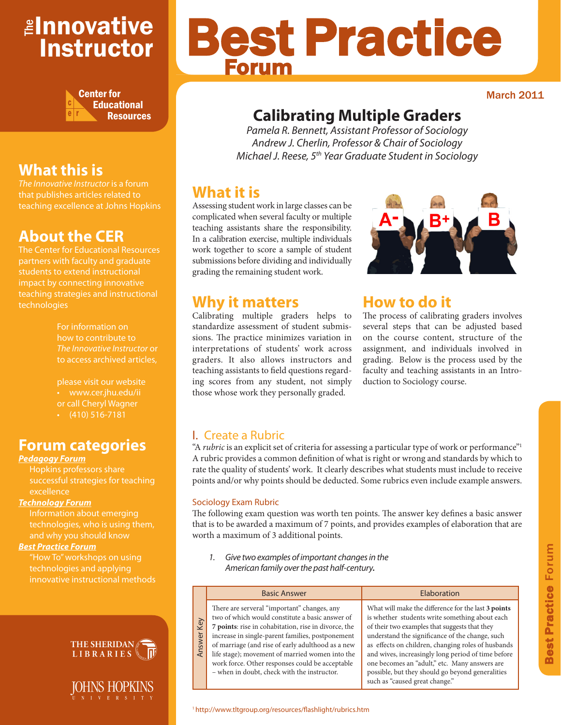# <mark>≇Innovative</mark> Instructor



# **What this is**

*The Innovative Instructor* is a forum that publishes articles related to teaching excellence at Johns Hopkins

# **About the CER**

The Center for Educational Resources partners with faculty and graduate teaching strategies and instructional technologies

> For information on how to contribute to *The Innovative Instructor* or to access archived articles,

please visit our website or call Cheryl Wagner  $\cdot$  (410) 516-7181

### **Forum categories**

#### *Pedagogy Forum*

Hopkins professors share successful strategies for teaching excellence

#### *Technology Forum*

technologies, who is using them, and why you should know

#### *Best Practice Forum*

technologies and applying innovative instructional methods





# Best Practice Forum

March 2011

# **Calibrating Multiple Graders**

*Pamela R. Bennett, Assistant Professor of Sociology Andrew J. Cherlin, Professor & Chair of Sociology Michael J. Reese, 5th Year Graduate Student in Sociology* 

## **What it is**

Assessing student work in large classes can be complicated when several faculty or multiple teaching assistants share the responsibility. In a calibration exercise, multiple individuals work together to score a sample of student submissions before dividing and individually grading the remaining student work.



## **How to do it**

The process of calibrating graders involves several steps that can be adjusted based on the course content, structure of the assignment, and individuals involved in grading. Below is the process used by the faculty and teaching assistants in an Introduction to Sociology course.

#### **Why it matters** Calibrating multiple graders helps to

standardize assessment of student submissions. The practice minimizes variation in interpretations of students' work across graders. It also allows instructors and teaching assistants to field questions regarding scores from any student, not simply those whose work they personally graded.

#### I. Create a Rubric

"A *rubric* is an explicit set of criteria for assessing a particular type of work or performance"<sup>1</sup> A rubric provides a common definition of what is right or wrong and standards by which to rate the quality of students' work. It clearly describes what students must include to receive points and/or why points should be deducted. Some rubrics even include example answers.

#### Sociology Exam Rubric

Answer Key

Answer

Key

The following exam question was worth ten points. The answer key defines a basic answer that is to be awarded a maximum of 7 points, and provides examples of elaboration that are worth a maximum of 3 additional points.

*1. Give two examples of important changes in the American family over the past half-century.*

#### Basic Answer **Elaboration** There are serveral "important" changes, any two of which would constitute a basic answer of **7 points**: rise in cohabitation, rise in divorce, the increase in single-parent families, postponement of marriage (and rise of early adulthood as a new life stage); movement of married women into the work force. Other responses could be acceptable – when in doubt, check with the instructor. What will make the difference for the last **3 points** is whether students write something about each of their two examples that suggests that they understand the significance of the change, such as effects on children, changing roles of husbands and wives, increasingly long period of time before one becomes an "adult," etc. Many answers are possible, but they should go beyond generalities such as "caused great change."